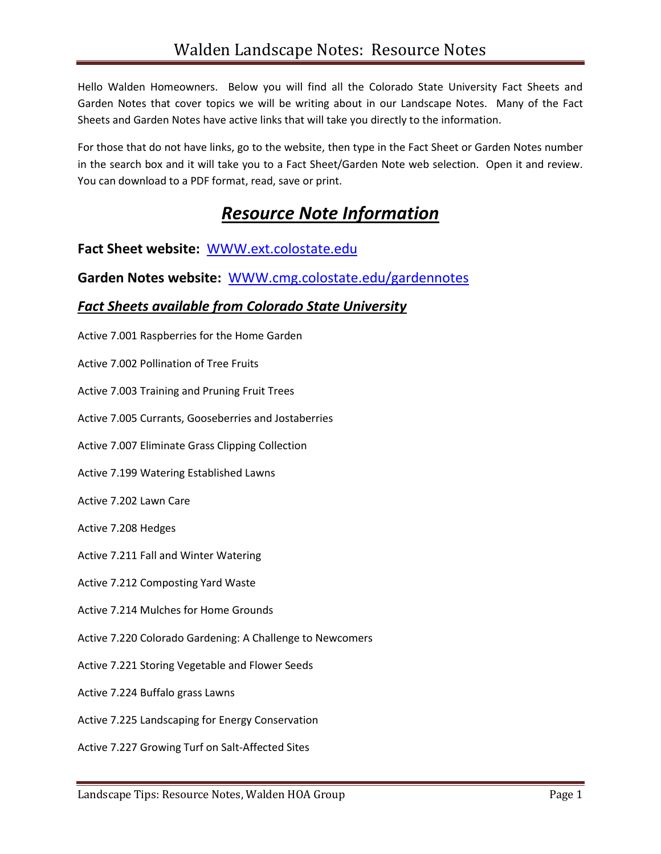Hello Walden Homeowners. Below you will find all the Colorado State University Fact Sheets and Garden Notes that cover topics we will be writing about in our Landscape Notes. Many of the Fact Sheets and Garden Notes have active links that will take you directly to the information.

For those that do not have links, go to the website, then type in the Fact Sheet or Garden Notes number in the search box and it will take you to a Fact Sheet/Garden Note web selection. Open it and review. You can download to a PDF format, read, save or print.

#### *Resource Note Information*

**Fact Sheet website:** [WWW.ext.colostate.edu](http://www.ext.colostate.edu/)

**Garden Notes website:** [WWW.cmg.colostate.edu/gardennotes](http://www.cmg.colostate.edu/gardennotes)

#### *Fact Sheets available from Colorado State University*

Active 7.001 Raspberries for the Home Garden

Active 7.002 Pollination of Tree Fruits

Active 7.003 Training and Pruning Fruit Trees

Active 7.005 Currants, Gooseberries and Jostaberries

Active 7.007 Eliminate Grass Clipping Collection

Active 7.199 Watering Established Lawns

Active 7.202 Lawn Care

Active 7.208 Hedges

Active 7.211 Fall and Winter Watering

Active 7.212 Composting Yard Waste

Active 7.214 Mulches for Home Grounds

Active 7.220 Colorado Gardening: A Challenge to Newcomers

Active 7.221 Storing Vegetable and Flower Seeds

Active 7.224 Buffalo grass Lawns

Active 7.225 Landscaping for Energy Conservation

Active 7.227 Growing Turf on Salt-Affected Sites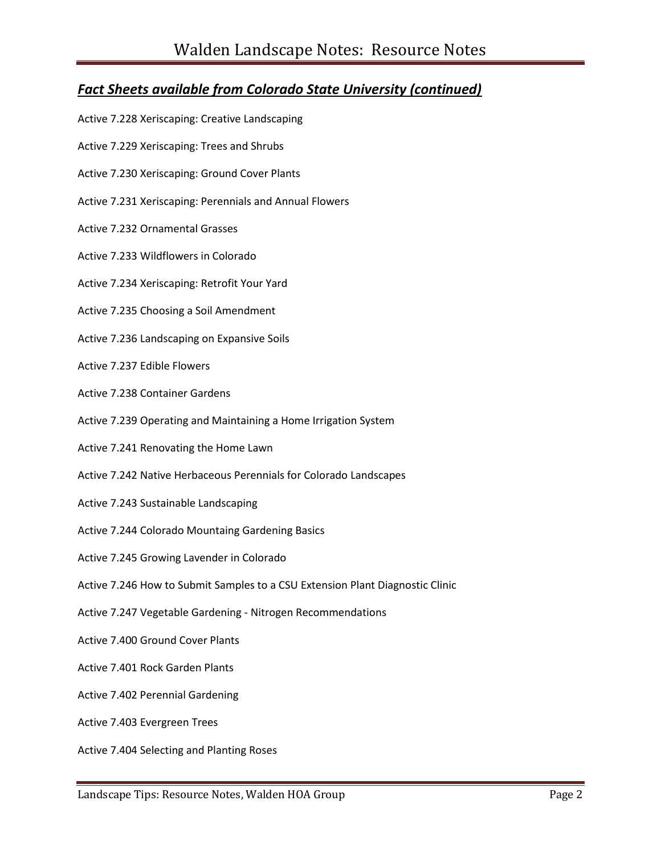#### *Fact Sheets available from Colorado State University (continued)*

- Active 7.228 Xeriscaping: Creative Landscaping
- Active 7.229 Xeriscaping: Trees and Shrubs
- Active 7.230 Xeriscaping: Ground Cover Plants
- Active 7.231 Xeriscaping: Perennials and Annual Flowers
- Active 7.232 Ornamental Grasses
- Active 7.233 Wildflowers in Colorado
- Active 7.234 Xeriscaping: Retrofit Your Yard
- Active 7.235 Choosing a Soil Amendment
- Active 7.236 Landscaping on Expansive Soils
- Active 7.237 Edible Flowers
- Active 7.238 Container Gardens
- Active 7.239 Operating and Maintaining a Home Irrigation System
- Active 7.241 Renovating the Home Lawn
- Active 7.242 Native Herbaceous Perennials for Colorado Landscapes
- Active 7.243 Sustainable Landscaping
- Active 7.244 Colorado Mountaing Gardening Basics
- Active 7.245 Growing Lavender in Colorado
- Active 7.246 How to Submit Samples to a CSU Extension Plant Diagnostic Clinic
- Active 7.247 Vegetable Gardening Nitrogen Recommendations
- Active 7.400 Ground Cover Plants
- Active 7.401 Rock Garden Plants
- Active 7.402 Perennial Gardening
- Active 7.403 Evergreen Trees
- Active 7.404 Selecting and Planting Roses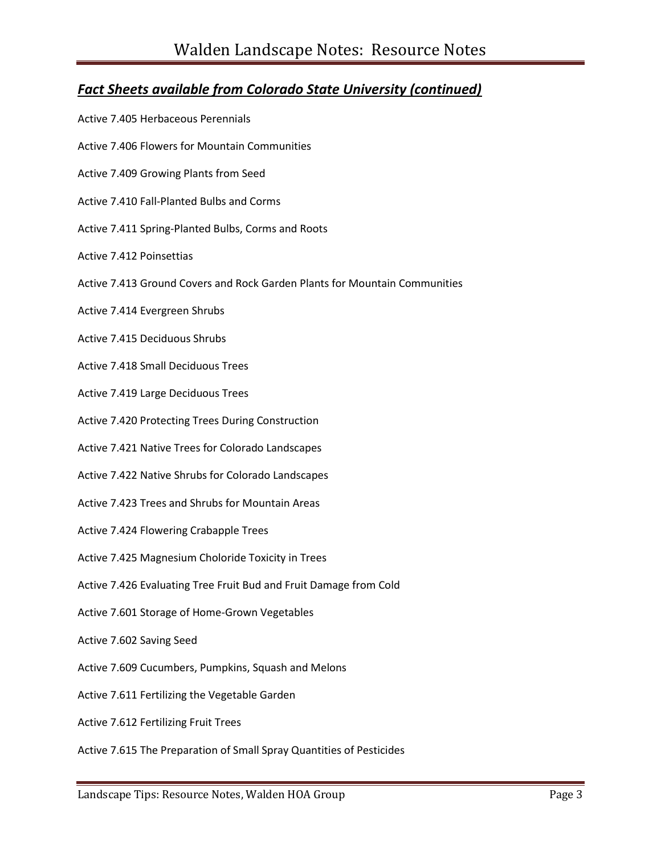#### *Fact Sheets available from Colorado State University (continued)*

Active 7.405 Herbaceous Perennials Active 7.406 Flowers for Mountain Communities Active 7.409 Growing Plants from Seed Active 7.410 Fall-Planted Bulbs and Corms Active 7.411 Spring-Planted Bulbs, Corms and Roots Active 7.412 Poinsettias Active 7.413 Ground Covers and Rock Garden Plants for Mountain Communities Active 7.414 Evergreen Shrubs Active 7.415 Deciduous Shrubs Active 7.418 Small Deciduous Trees Active 7.419 Large Deciduous Trees Active 7.420 Protecting Trees During Construction Active 7.421 Native Trees for Colorado Landscapes Active 7.422 Native Shrubs for Colorado Landscapes Active 7.423 Trees and Shrubs for Mountain Areas Active 7.424 Flowering Crabapple Trees Active 7.425 Magnesium Choloride Toxicity in Trees Active 7.426 Evaluating Tree Fruit Bud and Fruit Damage from Cold Active 7.601 Storage of Home-Grown Vegetables Active 7.602 Saving Seed Active 7.609 Cucumbers, Pumpkins, Squash and Melons Active 7.611 Fertilizing the Vegetable Garden Active 7.612 Fertilizing Fruit Trees Active 7.615 The Preparation of Small Spray Quantities of Pesticides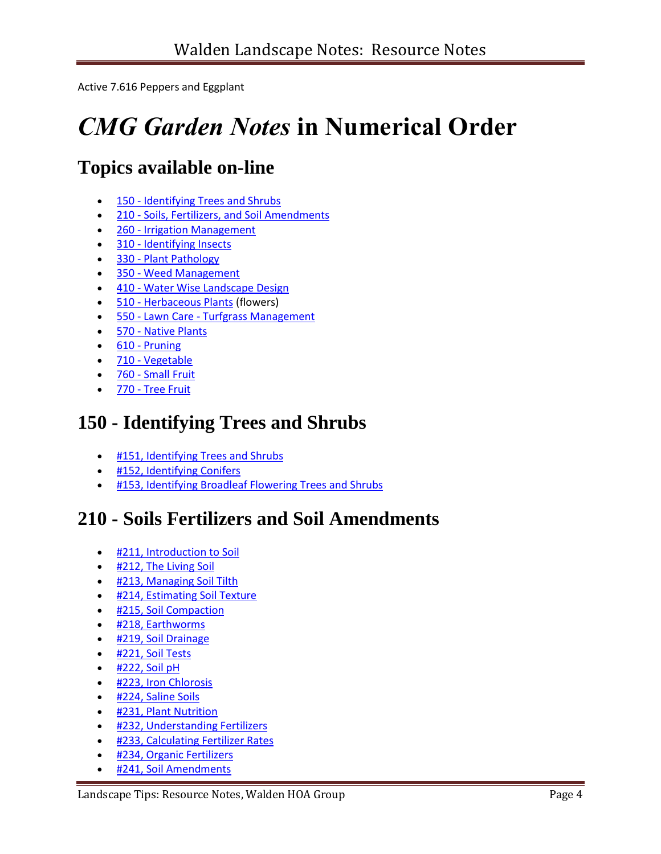Active 7.616 Peppers and Eggplant

# *CMG Garden Notes* **in Numerical Order**

# **Topics available on-line**

- 150 [Identifying Trees and Shrubs](http://www.cmg.colostate.edu/gardennotesbynumber.shtml#IDTrees)
- 210 [Soils, Fertilizers, and Soil Amendments](http://www.cmg.colostate.edu/gardennotesbynumber.shtml#soils)
- 260 [Irrigation Management](http://www.cmg.colostate.edu/gardennotesbynumber.shtml#irrigation)
- 310 [Identifying Insects](http://www.cmg.colostate.edu/gardennotesbynumber.shtml#insectid)
- 330 [Plant Pathology](http://www.cmg.colostate.edu/gardennotesbynumber.shtml#pathology)
- 350 [Weed Management](http://www.cmg.colostate.edu/gardennotesbynumber.shtml#weeds)
- 410 [Water Wise Landscape Design](http://www.cmg.colostate.edu/gardennotesbynumber.shtml#wwld)
- 510 [Herbaceous Plants](http://www.cmg.colostate.edu/gardennotesbynumber.shtml#herb) (flowers)
- 550 Lawn Care [Turfgrass Management](http://www.cmg.colostate.edu/gardennotesbynumber.shtml#turf)
- 570 [Native Plants](http://www.cmg.colostate.edu/gardennotesbynumber.shtml#native)
- $\bullet$  610 [Pruning](http://www.cmg.colostate.edu/gardennotesbynumber.shtml#pruning)
- 710 [Vegetable](http://www.cmg.colostate.edu/gardennotesbynumber.shtml#veg)
- 760 [Small Fruit](http://www.cmg.colostate.edu/gardennotesbynumber.shtml#SmallFruit)
- 770 [Tree Fruit](http://www.cmg.colostate.edu/gardennotesbynumber.shtml#TreeFruit)

# **150 - Identifying Trees and Shrubs**

- **.** [#151, Identifying Trees and Shrubs](http://www.ext.colostate.edu/mg/Gardennotes/151.html)
- [#152, Identifying Conifers](http://www.ext.colostate.edu/mg/Gardennotes/152.html)
- **[#153, Identifying Broadleaf Flowering Trees and Shrubs](http://www.ext.colostate.edu/mg/Gardennotes/153.html)**

# **210 - Soils Fertilizers and Soil Amendments**

- **\* [#211, Introduction to Soil](http://www.ext.colostate.edu/mg/Gardennotes/211.html)**
- [#212, The Living Soil](http://www.ext.colostate.edu/mg/Gardennotes/212.html)
- **.** [#213, Managing Soil Tilth](http://www.ext.colostate.edu/mg/Gardennotes/213.html)
- **.** [#214, Estimating Soil Texture](http://www.ext.colostate.edu/mg/Gardennotes/214.html)
- **.** [#215, Soil Compaction](http://www.ext.colostate.edu/mg/Gardennotes/215.html)
- [#218, Earthworms](http://www.ext.colostate.edu/mg/Gardennotes/218.html)
- [#219, Soil Drainage](http://www.ext.colostate.edu/mg/Gardennotes/219.html)
- [#221, Soil Tests](http://www.ext.colostate.edu/mg/Gardennotes/221.html)
- $\bullet$  [#222, Soil pH](http://www.ext.colostate.edu/mg/Gardennotes/222.html)
- **\* [#223, Iron Chlorosis](http://www.ext.colostate.edu/mg/Gardennotes/223.html)**
- [#224, Saline Soils](http://www.ext.colostate.edu/mg/Gardennotes/224.html)
- [#231, Plant Nutrition](http://www.ext.colostate.edu/mg/Gardennotes/231.html)
- **[#232, Understanding Fertilizers](http://www.ext.colostate.edu/mg/Gardennotes/232.html)**
- **. [#233, Calculating Fertilizer Rates](http://www.ext.colostate.edu/mg/Gardennotes/233.html)**
- **\*** [#234, Organic Fertilizers](http://www.ext.colostate.edu/mg/Gardennotes/234.html)
- [#241, Soil Amendments](http://www.ext.colostate.edu/mg/Gardennotes/241.html)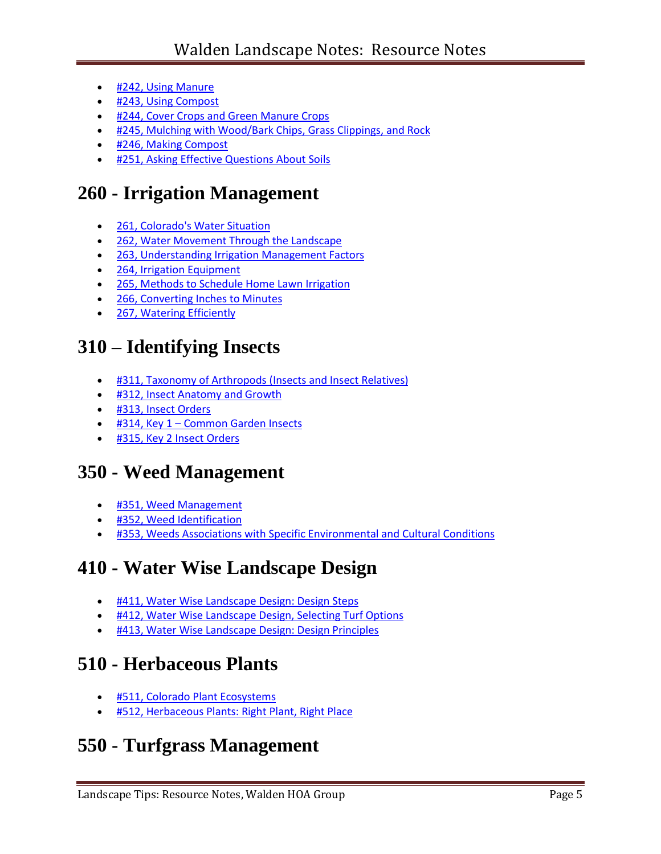- [#242, Using Manure](http://www.ext.colostate.edu/mg/Gardennotes/242.html)
- [#243, Using Compost](http://www.ext.colostate.edu/mg/Gardennotes/243.html)
- **#244, Cover [Crops and Green Manure Crops](http://www.ext.colostate.edu/mg/Gardennotes/244.html)**
- [#245, Mulching with Wood/Bark Chips, Grass Clippings, and Rock](http://www.ext.colostate.edu/mg/Gardennotes/245.html)
- [#246, Making Compost](http://www.ext.colostate.edu/mg/Gardennotes/246.html)
- **. [#251, Asking Effective Questions About Soils](http://www.ext.colostate.edu/mg/Gardennotes/251.html)**

## **260 - Irrigation Management**

- [261, Colorado's Water Situation](http://www.ext.colostate.edu/mg/Gardennotes/261.pdf)
- [262, Water Movement Through the Landscape](http://www.ext.colostate.edu/mg/Gardennotes/262.pdf)
- [263, Understanding Irrigation Management Factors](http://www.ext.colostate.edu/mg/Gardennotes/263.pdf)
- [264, Irrigation Equipment](http://www.ext.colostate.edu/mg/Gardennotes/264.pdf)
- [265, Methods to Schedule Home Lawn Irrigation](http://www.ext.colostate.edu/mg/Gardennotes/265.pdf)
- [266, Converting Inches to Minutes](http://www.ext.colostate.edu/mg/Gardennotes/266.pdf)
- [267, Watering Efficiently](http://www.ext.colostate.edu/mg/Gardennotes/267.pdf)

## **310 – Identifying Insects**

- [#311, Taxonomy of Arthropods \(Insects and Insect Relatives\)](http://www.ext.colostate.edu/mg/Gardennotes/311.pdf)
- [#312, Insect Anatomy and Growth](http://www.ext.colostate.edu/mg/Gardennotes/312.pdf)
- [#313, Insect Orders](http://www.ext.colostate.edu/mg/Gardennotes/313.pdf)
- #314, Key 1 Common Garden Insects
- **.** #315, Key 2 Insect Orders

## **350 - Weed Management**

- [#351, Weed Management](http://www.ext.colostate.edu/mg/Gardennotes/351.pdf)
- [#352, Weed Identification](http://www.ext.colostate.edu/mg/Gardennotes/352.pdf)
- **[#353, Weeds Associations with Specific Environmental and Cultural Conditions](http://www.ext.colostate.edu/mg/Gardennotes/353.pdf)**

## **410 - Water Wise Landscape Design**

- **[#411, Water Wise Landscape Design: Design Steps](http://www.ext.colostate.edu/mg/Gardennotes/411.html)**
- **. [#412, Water Wise Landscape Design, Selecting Turf Options](http://www.ext.colostate.edu/mg/Gardennotes/412.html)**
- [#413, Water Wise Landscape Design: Design Principles](http://www.ext.colostate.edu/mg/Gardennotes/413.html)

#### **510 - Herbaceous Plants**

- **.** [#511, Colorado Plant Ecosystems](http://www.ext.colostate.edu/mg/Gardennotes/511.html)
- **\*** [#512, Herbaceous Plants: Right Plant, Right Place](http://www.ext.colostate.edu/mg/Gardennotes/512.html)

## **550 - Turfgrass Management**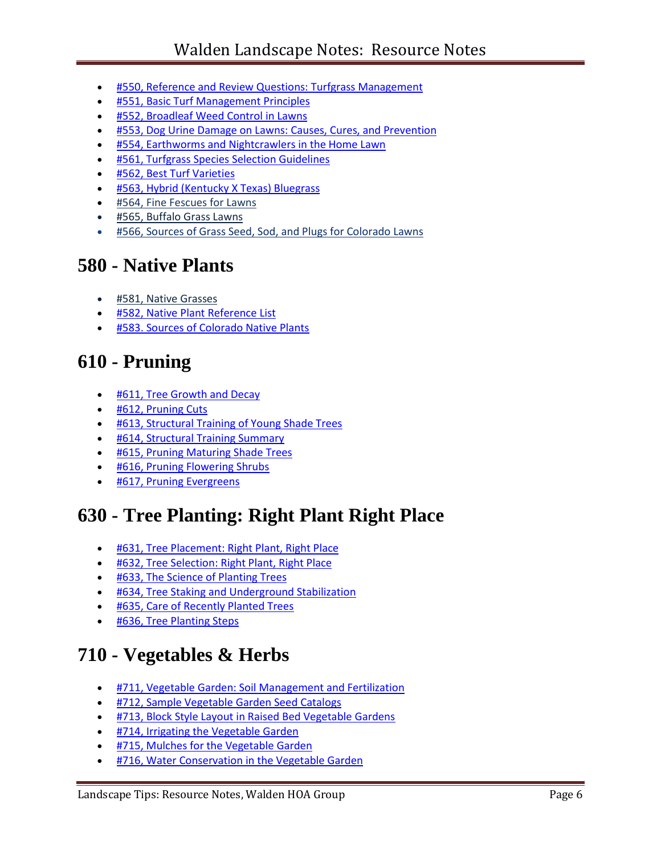- [#550, Reference and Review Questions: Turfgrass Management](http://www.ext.colostate.edu/mg/Gardennotes/550.pdf)
- **[#551, Basic Turf Management Principles](http://www.ext.colostate.edu/mg/Gardennotes/551.html)**
- [#552, Broadleaf Weed Control in Lawns](http://www.ext.colostate.edu/mg/Gardennotes/552.pdf)
- **[#553, Dog Urine Damage on Lawns: Causes, Cures, and Prevention](http://www.ext.colostate.edu/mg/Gardennotes/553.html)**
- [#554, Earthworms and Nightcrawlers in the Home Lawn](http://www.ext.colostate.edu/mg/Gardennotes/554.html)
- [#561, Turfgrass Species Selection Guidelines](http://www.ext.colostate.edu/mg/Gardennotes/561.html)
- [#562, Best Turf Varieties](http://www.ext.colostate.edu/mg/Gardennotes/562.html)
- [#563, Hybrid \(Kentucky X Texas\) Bluegrass](http://www.ext.colostate.edu/mg/Gardennotes/563.html)
- #564, Fine Fescues for Lawns
- #565, Buffalo Grass Lawns
- **\*** #566, Sources of Grass Seed, Sod, and Plugs for Colorado Lawns

#### **580 - Native Plants**

- [#581, Native Grasses](http://www.ext.colostate.edu/mg/Gardennotes/581.html)
- **. [#582, Native Plant Reference](http://www.ext.colostate.edu/mg/Gardennotes/582.html) List**
- [#583. Sources of Colorado Native Plants](http://www.ext.colostate.edu/mg/Gardennotes/583.pdf)

## **610 - Pruning**

- **.** [#611, Tree Growth and Decay](http://www.ext.colostate.edu/mg/Gardennotes/611.html)
- [#612, Pruning Cuts](http://www.ext.colostate.edu/mg/Gardennotes/612.html)
- **. [#613, Structural Training of Young Shade Trees](http://www.ext.colostate.edu/mg/Gardennotes/613.html)**
- [#614, Structural Training Summary](http://www.ext.colostate.edu/mg/Gardennotes/614.pdf)
- [#615, Pruning Maturing Shade Trees](http://www.ext.colostate.edu/mg/Gardennotes/615.html)
- [#616, Pruning Flowering Shrubs](http://www.ext.colostate.edu/mg/Gardennotes/616.html)
- [#617, Pruning Evergreens](http://www.ext.colostate.edu/mg/Gardennotes/617.html)

## **630 - Tree Planting: Right Plant Right Place**

- [#631, Tree Placement: Right Plant, Right Place](http://www.ext.colostate.edu/mg/Gardennotes/631.html)
- [#632, Tree Selection: Right Plant, Right Place](http://www.ext.colostate.edu/mg/Gardennotes/632.html)
- **[#633, The Science of Planting Trees](http://www.ext.colostate.edu/mg/Gardennotes/633.html)**
- **[#634, Tree Staking and Underground Stabilization](http://www.ext.colostate.edu/mg/Gardennotes/634.html)**
- **.** [#635, Care of Recently Planted Trees](http://www.ext.colostate.edu/mg/Gardennotes/635.html)
- **.** [#636, Tree Planting Steps](http://www.ext.colostate.edu/mg/Gardennotes/636.html)

## **710 - Vegetables & Herbs**

- [#711, Vegetable Garden: Soil Management and Fertilization](http://www.ext.colostate.edu/mg/Gardennotes/711.html)
- **. [#712, Sample Vegetable Garden Seed Catalogs](http://www.ext.colostate.edu/mg/Gardennotes/712.html)**
- **. [#713, Block Style Layout in Raised Bed Vegetable Gardens](http://www.ext.colostate.edu/mg/Gardennotes/713.html)**
- **[#714, Irrigating the Vegetable Garden](http://www.ext.colostate.edu/mg/Gardennotes/714.html)**
- **. [#715, Mulches for the Vegetable Garden](http://www.ext.colostate.edu/mg/Gardennotes/715.html)**
- **[#716, Water Conservation in the Vegetable Garden](http://www.ext.colostate.edu/mg/Gardennotes/716.html)**